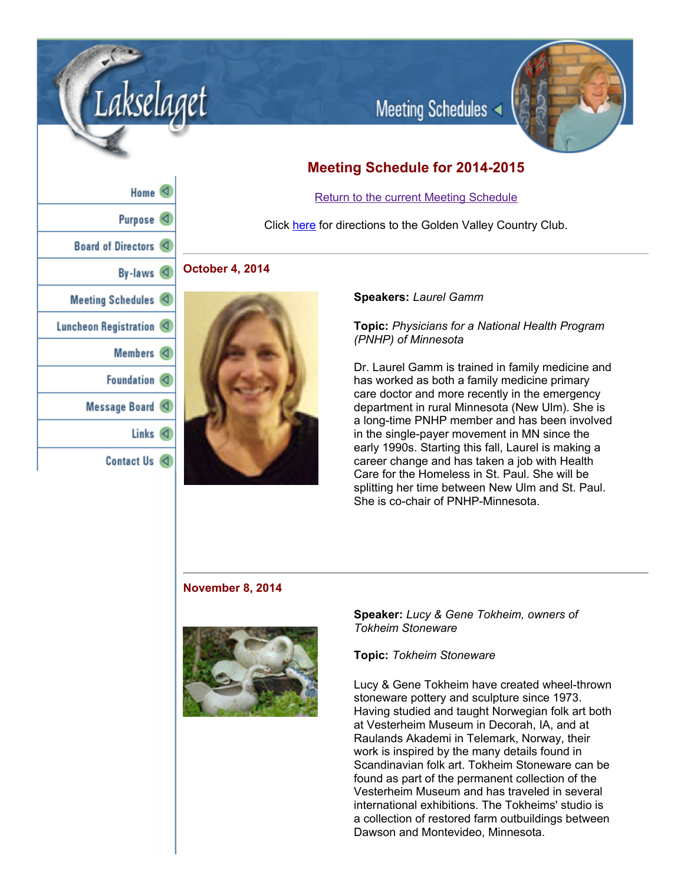

# **Meeting Schedule for 20142015**

# Return to the current Meeting Schedule

Click here for directions to the Golden Valley Country Club.

# **October 4, 2014**



## **Speakers:** *Laurel Gamm*

# **Topic:** *Physicians for a National Health Program (PNHP) of Minnesota*

Dr. Laurel Gamm is trained in family medicine and has worked as both a family medicine primary care doctor and more recently in the emergency department in rural Minnesota (New Ulm). She is a long-time PNHP member and has been involved in the single-payer movement in MN since the early 1990s. Starting this fall, Laurel is making a career change and has taken a job with Health Care for the Homeless in St. Paul. She will be splitting her time between New Ulm and St. Paul. She is co-chair of PNHP-Minnesota.

## **November 8, 2014**



**Speaker:** *Lucy & Gene Tokheim, owners of Tokheim Stoneware*

## **Topic:** *Tokheim Stoneware*

Lucy & Gene Tokheim have created wheel-thrown stoneware pottery and sculpture since 1973. Having studied and taught Norwegian folk art both at Vesterheim Museum in Decorah, IA, and at Raulands Akademi in Telemark, Norway, their work is inspired by the many details found in Scandinavian folk art. Tokheim Stoneware can be found as part of the permanent collection of the Vesterheim Museum and has traveled in several international exhibitions. The Tokheims' studio is a collection of restored farm outbuildings between Dawson and Montevideo, Minnesota.

| $name \sim$                             |  |
|-----------------------------------------|--|
| Purpose <sup>(</sup>                    |  |
| Board of Directors <                    |  |
| By-laws $\triangleleft$                 |  |
| Meeting Schedules <                     |  |
| Luncheon Registration <                 |  |
| Members $\triangleleft$                 |  |
| Foundation $\langle$                    |  |
| Message Board $\langle \langle \rangle$ |  |
| Links $\langle$                         |  |
| Contact Us $\lhd$                       |  |

Lakselaget

 $\mathbf{u}$   $\mathbf{v}$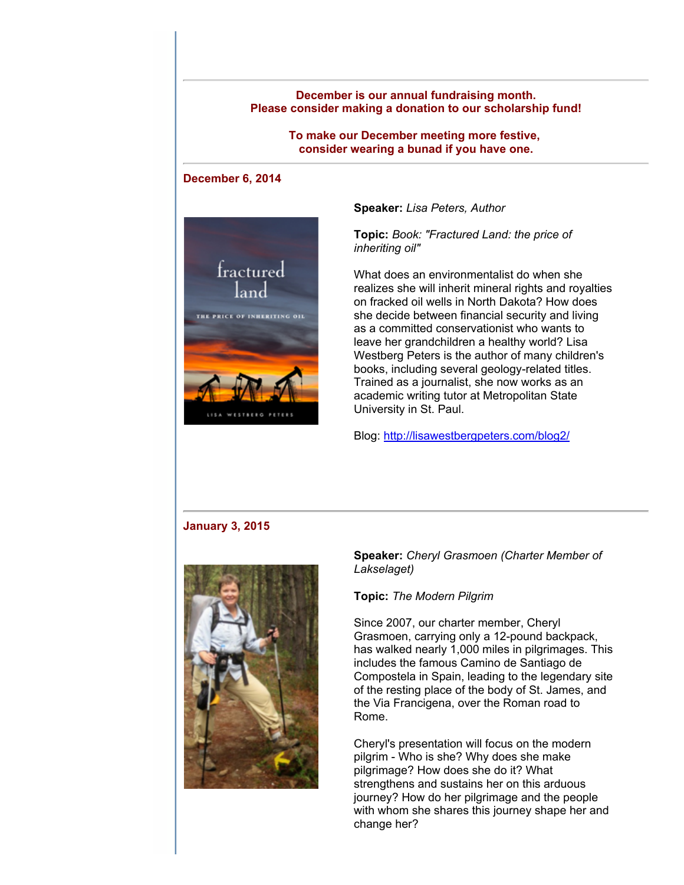## **December is our annual fundraising month. Please consider making a donation to our scholarship fund!**

**To make our December meeting more festive, consider wearing a bunad if you have one.**

## **December 6, 2014**



**Speaker:** *Lisa Peters, Author*

**Topic:** *Book: "Fractured Land: the price of inheriting oil"*

What does an environmentalist do when she realizes she will inherit mineral rights and royalties on fracked oil wells in North Dakota? How does she decide between financial security and living as a committed conservationist who wants to leave her grandchildren a healthy world? Lisa Westberg Peters is the author of many children's books, including several geology-related titles. Trained as a journalist, she now works as an academic writing tutor at Metropolitan State University in St. Paul.

Blog: http://lisawestbergpeters.com/blog2/

#### **January 3, 2015**



# **Speaker:** *Cheryl Grasmoen (Charter Member of Lakselaget)*

#### **Topic:** *The Modern Pilgrim*

Since 2007, our charter member, Cheryl Grasmoen, carrying only a 12-pound backpack, has walked nearly 1,000 miles in pilgrimages. This includes the famous Camino de Santiago de Compostela in Spain, leading to the legendary site of the resting place of the body of St. James, and the Via Francigena, over the Roman road to Rome.

Cheryl's presentation will focus on the modern pilgrim - Who is she? Why does she make pilgrimage? How does she do it? What strengthens and sustains her on this arduous journey? How do her pilgrimage and the people with whom she shares this journey shape her and change her?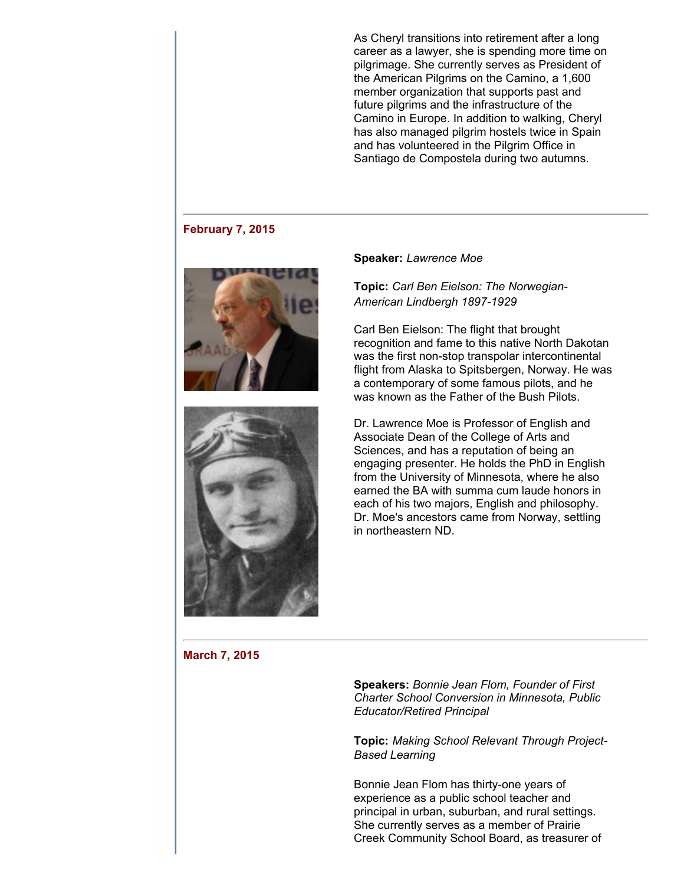As Cheryl transitions into retirement after a long career as a lawyer, she is spending more time on pilgrimage. She currently serves as President of the American Pilgrims on the Camino, a 1,600 member organization that supports past and future pilgrims and the infrastructure of the Camino in Europe. In addition to walking, Cheryl has also managed pilgrim hostels twice in Spain and has volunteered in the Pilgrim Office in Santiago de Compostela during two autumns.

#### **February 7, 2015**





#### **Speaker:** *Lawrence Moe*

**Topic:** *Carl Ben Eielson: The Norwegian-***American Lindbergh 1897-1929** 

Carl Ben Eielson: The flight that brought recognition and fame to this native North Dakotan was the first non-stop transpolar intercontinental flight from Alaska to Spitsbergen, Norway. He was a contemporary of some famous pilots, and he was known as the Father of the Bush Pilots.

Dr. Lawrence Moe is Professor of English and Associate Dean of the College of Arts and Sciences, and has a reputation of being an engaging presenter. He holds the PhD in English from the University of Minnesota, where he also earned the BA with summa cum laude honors in each of his two majors, English and philosophy. Dr. Moe's ancestors came from Norway, settling in northeastern ND.

# **March 7, 2015**

**Speakers:** *Bonnie Jean Flom, Founder of First Charter School Conversion in Minnesota, Public Educator/Retired Principal*

**Topic:** *Making School Relevant Through Project-Based Learning*

Bonnie Jean Flom has thirty-one years of experience as a public school teacher and principal in urban, suburban, and rural settings. She currently serves as a member of Prairie Creek Community School Board, as treasurer of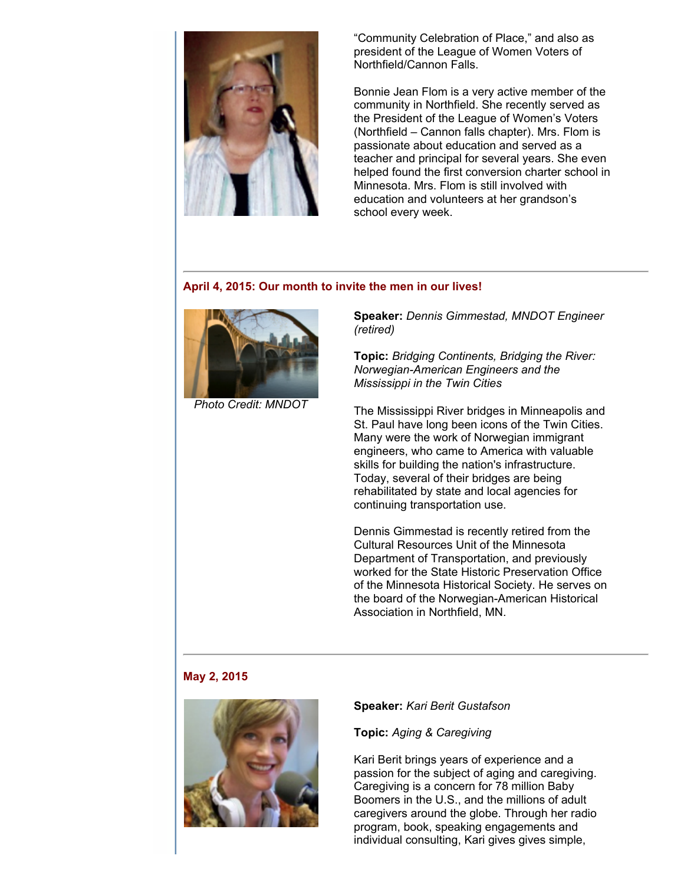

"Community Celebration of Place," and also as president of the League of Women Voters of Northfield/Cannon Falls.

Bonnie Jean Flom is a very active member of the community in Northfield. She recently served as the President of the League of Women's Voters (Northfield – Cannon falls chapter). Mrs. Flom is passionate about education and served as a teacher and principal for several years. She even helped found the first conversion charter school in Minnesota. Mrs. Flom is still involved with education and volunteers at her grandson's school every week.

# **April 4, 2015: Our month to invite the men in our lives!**



*Photo Credit: MNDOT*

**Speaker:** *Dennis Gimmestad, MNDOT Engineer (retired)*

**Topic:** *Bridging Continents, Bridging the River: NorwegianAmerican Engineers and the Mississippi in the Twin Cities*

The Mississippi River bridges in Minneapolis and St. Paul have long been icons of the Twin Cities. Many were the work of Norwegian immigrant engineers, who came to America with valuable skills for building the nation's infrastructure. Today, several of their bridges are being rehabilitated by state and local agencies for continuing transportation use.

Dennis Gimmestad is recently retired from the Cultural Resources Unit of the Minnesota Department of Transportation, and previously worked for the State Historic Preservation Office of the Minnesota Historical Society. He serves on the board of the Norwegian-American Historical Association in Northfield, MN.

# **May 2, 2015**



## **Speaker:** *Kari Berit Gustafson*

**Topic:** *Aging & Caregiving*

Kari Berit brings years of experience and a passion for the subject of aging and caregiving. Caregiving is a concern for 78 million Baby Boomers in the U.S., and the millions of adult caregivers around the globe. Through her radio program, book, speaking engagements and individual consulting, Kari gives gives simple,